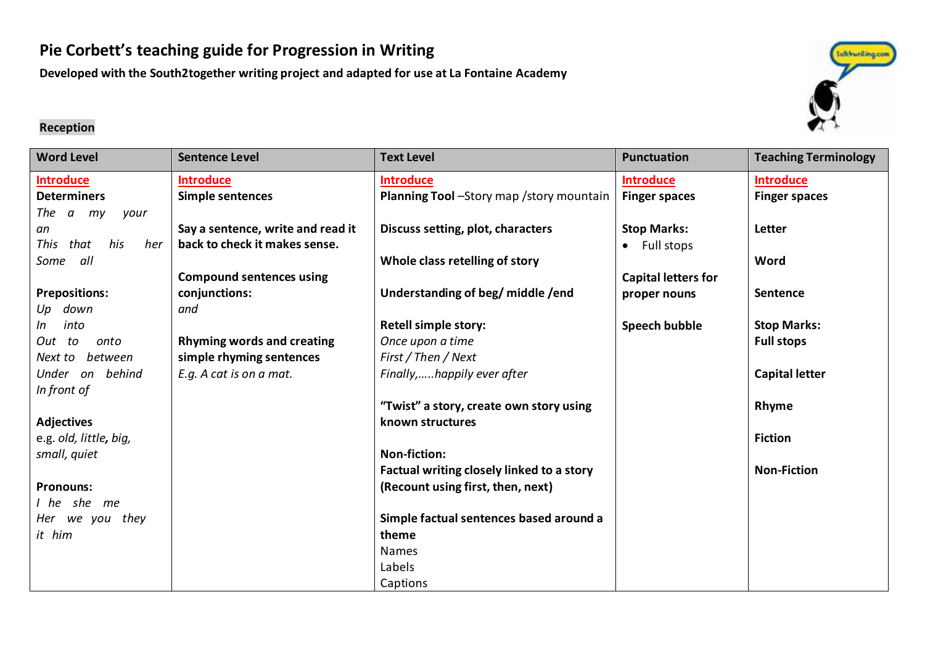# **Pie Corbett's teaching guide for Progression in Writing**

**Developed with the South2together writing project and adapted for use at La Fontaine Academy**

#### **Reception**

| <b>Word Level</b>       | <b>Sentence Level</b>             | <b>Text Level</b>                         | <b>Punctuation</b>         | <b>Teaching Terminology</b> |
|-------------------------|-----------------------------------|-------------------------------------------|----------------------------|-----------------------------|
| <b>Introduce</b>        | <b>Introduce</b>                  | <b>Introduce</b>                          | <b>Introduce</b>           | <b>Introduce</b>            |
| <b>Determiners</b>      | Simple sentences                  | Planning Tool -Story map /story mountain  | <b>Finger spaces</b>       | <b>Finger spaces</b>        |
| The a my<br>your        |                                   |                                           |                            |                             |
| an                      | Say a sentence, write and read it | Discuss setting, plot, characters         | <b>Stop Marks:</b>         | Letter                      |
| his<br>This that<br>her | back to check it makes sense.     |                                           | • Full stops               |                             |
| Some all                |                                   | Whole class retelling of story            |                            | Word                        |
|                         | <b>Compound sentences using</b>   |                                           | <b>Capital letters for</b> |                             |
| <b>Prepositions:</b>    | conjunctions:                     | Understanding of beg/ middle /end         | proper nouns               | Sentence                    |
| Up down                 | and                               |                                           |                            |                             |
| into<br>In              |                                   | <b>Retell simple story:</b>               | Speech bubble              | <b>Stop Marks:</b>          |
| onto<br>Out to          | <b>Rhyming words and creating</b> | Once upon a time                          |                            | <b>Full stops</b>           |
| between<br>Next to      | simple rhyming sentences          | First / Then / Next                       |                            |                             |
| Under on behind         | E.g. A cat is on a mat.           | Finally,happily ever after                |                            | <b>Capital letter</b>       |
| In front of             |                                   |                                           |                            |                             |
|                         |                                   | "Twist" a story, create own story using   |                            | Rhyme                       |
| <b>Adjectives</b>       |                                   | known structures                          |                            |                             |
| e.g. old, little, big,  |                                   |                                           |                            | <b>Fiction</b>              |
| small, quiet            |                                   | Non-fiction:                              |                            |                             |
|                         |                                   | Factual writing closely linked to a story |                            | <b>Non-Fiction</b>          |
| <b>Pronouns:</b>        |                                   | (Recount using first, then, next)         |                            |                             |
| I he she me             |                                   |                                           |                            |                             |
| Her we you they         |                                   | Simple factual sentences based around a   |                            |                             |
| it him                  |                                   | theme                                     |                            |                             |
|                         |                                   | <b>Names</b>                              |                            |                             |
|                         |                                   | Labels                                    |                            |                             |
|                         |                                   | Captions                                  |                            |                             |

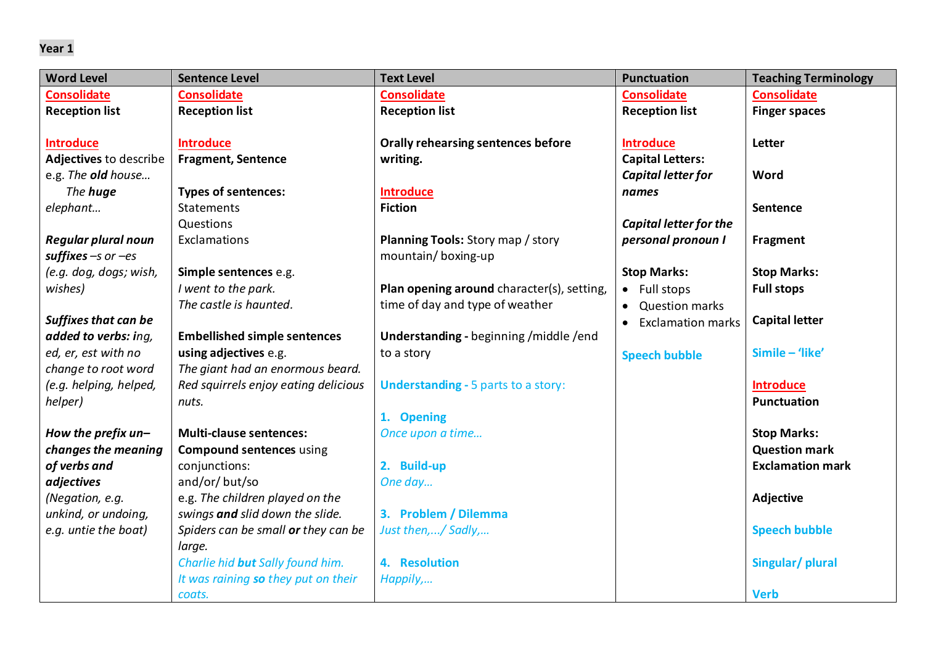| <b>Word Level</b>           | <b>Sentence Level</b>                | <b>Text Level</b>                          | <b>Punctuation</b>            | <b>Teaching Terminology</b> |
|-----------------------------|--------------------------------------|--------------------------------------------|-------------------------------|-----------------------------|
| <b>Consolidate</b>          | <b>Consolidate</b>                   | <b>Consolidate</b>                         | <b>Consolidate</b>            | <b>Consolidate</b>          |
| <b>Reception list</b>       | <b>Reception list</b>                | <b>Reception list</b>                      | <b>Reception list</b>         | <b>Finger spaces</b>        |
|                             |                                      |                                            |                               |                             |
| <b>Introduce</b>            | <b>Introduce</b>                     | <b>Orally rehearsing sentences before</b>  | <b>Introduce</b>              | Letter                      |
| Adjectives to describe      | <b>Fragment, Sentence</b>            | writing.                                   | <b>Capital Letters:</b>       |                             |
| e.g. The old house          |                                      |                                            | Capital letter for            | Word                        |
| The <b>huge</b>             | <b>Types of sentences:</b>           | <b>Introduce</b>                           | names                         |                             |
| elephant                    | <b>Statements</b>                    | <b>Fiction</b>                             |                               | <b>Sentence</b>             |
|                             | Questions                            |                                            | <b>Capital letter for the</b> |                             |
| <b>Regular plural noun</b>  | Exclamations                         | Planning Tools: Story map / story          | personal pronoun I            | <b>Fragment</b>             |
| suffixes $-s$ or $-es$      |                                      | mountain/boxing-up                         |                               |                             |
| (e.g. dog, dogs; wish,      | Simple sentences e.g.                |                                            | <b>Stop Marks:</b>            | <b>Stop Marks:</b>          |
| wishes)                     | I went to the park.                  | Plan opening around character(s), setting, | • Full stops                  | <b>Full stops</b>           |
|                             | The castle is haunted.               | time of day and type of weather            | <b>Question marks</b>         |                             |
| <b>Suffixes that can be</b> |                                      |                                            | <b>Exclamation marks</b>      | <b>Capital letter</b>       |
| added to verbs: ing,        | <b>Embellished simple sentences</b>  | Understanding - beginning / middle / end   |                               |                             |
| ed, er, est with no         | using adjectives e.g.                | to a story                                 | <b>Speech bubble</b>          | Simile - 'like'             |
| change to root word         | The giant had an enormous beard.     |                                            |                               |                             |
| (e.g. helping, helped,      | Red squirrels enjoy eating delicious | <b>Understanding - 5 parts to a story:</b> |                               | <b>Introduce</b>            |
| helper)                     | nuts.                                |                                            |                               | <b>Punctuation</b>          |
|                             |                                      | 1. Opening                                 |                               |                             |
| How the prefix un-          | <b>Multi-clause sentences:</b>       | Once upon a time                           |                               | <b>Stop Marks:</b>          |
| changes the meaning         | <b>Compound sentences using</b>      |                                            |                               | <b>Question mark</b>        |
| of verbs and                | conjunctions:                        | 2. Build-up                                |                               | <b>Exclamation mark</b>     |
| adjectives                  | and/or/ but/so                       | One day                                    |                               |                             |
| (Negation, e.g.             | e.g. The children played on the      |                                            |                               | Adjective                   |
| unkind, or undoing,         | swings and slid down the slide.      | 3. Problem / Dilemma                       |                               |                             |
| e.g. untie the boat)        | Spiders can be small or they can be  | Just then,/ Sadly,                         |                               | <b>Speech bubble</b>        |
|                             | large.                               |                                            |                               |                             |
|                             | Charlie hid but Sally found him.     | 4. Resolution                              |                               | Singular/plural             |
|                             | It was raining so they put on their  | Happily,                                   |                               |                             |
|                             | coats.                               |                                            |                               | <b>Verb</b>                 |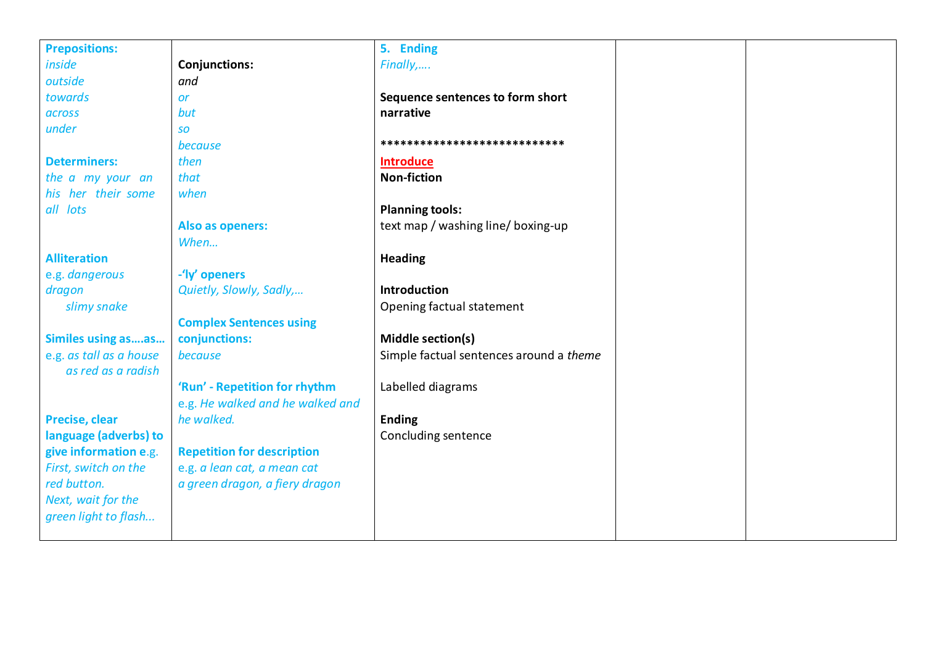| <b>Prepositions:</b>      |                                   | 5. Ending                               |  |
|---------------------------|-----------------------------------|-----------------------------------------|--|
| inside                    | <b>Conjunctions:</b>              | Finally,                                |  |
| outside                   | and                               |                                         |  |
| towards                   | <b>or</b>                         | Sequence sentences to form short        |  |
| across                    | but                               | narrative                               |  |
| under                     | <b>SO</b>                         |                                         |  |
|                           | because                           | ****************************            |  |
| <b>Determiners:</b>       | then                              | <b>Introduce</b>                        |  |
| the a my your an          | that                              | <b>Non-fiction</b>                      |  |
| his her their some        | when                              |                                         |  |
| all lots                  |                                   | <b>Planning tools:</b>                  |  |
|                           | Also as openers:                  | text map / washing line/ boxing-up      |  |
|                           | When                              |                                         |  |
| <b>Alliteration</b>       |                                   | <b>Heading</b>                          |  |
| e.g. dangerous            | -'ly' openers                     |                                         |  |
| dragon                    | Quietly, Slowly, Sadly,           | Introduction                            |  |
| slimy snake               |                                   | Opening factual statement               |  |
|                           | <b>Complex Sentences using</b>    |                                         |  |
| <b>Similes using asas</b> | conjunctions:                     | Middle section(s)                       |  |
| e.g. as tall as a house   | because                           | Simple factual sentences around a theme |  |
| as red as a radish        |                                   |                                         |  |
|                           | 'Run' - Repetition for rhythm     | Labelled diagrams                       |  |
|                           | e.g. He walked and he walked and  |                                         |  |
| Precise, clear            | he walked.                        | <b>Ending</b>                           |  |
| language (adverbs) to     |                                   | Concluding sentence                     |  |
| give information e.g.     | <b>Repetition for description</b> |                                         |  |
| First, switch on the      | e.g. a lean cat, a mean cat       |                                         |  |
| red button.               | a green dragon, a fiery dragon    |                                         |  |
| Next, wait for the        |                                   |                                         |  |
| green light to flash      |                                   |                                         |  |
|                           |                                   |                                         |  |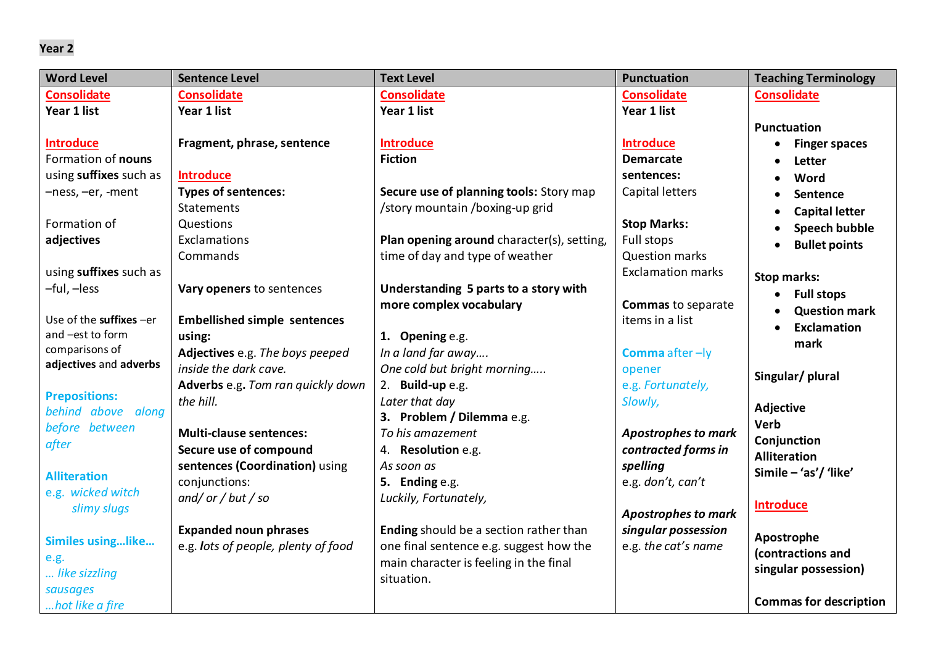| <b>Word Level</b>        | <b>Sentence Level</b>               | <b>Text Level</b>                          | <b>Punctuation</b>         | <b>Teaching Terminology</b>     |
|--------------------------|-------------------------------------|--------------------------------------------|----------------------------|---------------------------------|
| <b>Consolidate</b>       | <b>Consolidate</b>                  | <b>Consolidate</b>                         | <b>Consolidate</b>         | <b>Consolidate</b>              |
| Year 1 list              | Year 1 list                         | Year 1 list                                | Year 1 list                |                                 |
|                          |                                     |                                            |                            | <b>Punctuation</b>              |
| <b>Introduce</b>         | Fragment, phrase, sentence          | <b>Introduce</b>                           | <b>Introduce</b>           | <b>Finger spaces</b>            |
| Formation of nouns       |                                     | <b>Fiction</b>                             | <b>Demarcate</b>           | Letter                          |
| using suffixes such as   | <b>Introduce</b>                    |                                            | sentences:                 | Word                            |
| -ness, -er, -ment        | <b>Types of sentences:</b>          | Secure use of planning tools: Story map    | Capital letters            | Sentence                        |
|                          | <b>Statements</b>                   | /story mountain /boxing-up grid            |                            | <b>Capital letter</b>           |
| Formation of             | Questions                           |                                            | <b>Stop Marks:</b>         | <b>Speech bubble</b>            |
| adjectives               | Exclamations                        | Plan opening around character(s), setting, | Full stops                 | <b>Bullet points</b>            |
|                          | Commands                            | time of day and type of weather            | <b>Question marks</b>      |                                 |
| using suffixes such as   |                                     |                                            | <b>Exclamation marks</b>   | <b>Stop marks:</b>              |
| -ful, -less              | Vary openers to sentences           | Understanding 5 parts to a story with      |                            | • Full stops                    |
|                          |                                     | more complex vocabulary                    | <b>Commas to separate</b>  | <b>Question mark</b>            |
| Use of the suffixes -er  | <b>Embellished simple sentences</b> |                                            | items in a list            | <b>Exclamation</b><br>$\bullet$ |
| and -est to form         | using:                              | 1. Opening e.g.                            |                            | mark                            |
| comparisons of           | Adjectives e.g. The boys peeped     | In a land far away                         | Comma after-ly             |                                 |
| adjectives and adverbs   | inside the dark cave.               | One cold but bright morning                | opener                     | Singular/plural                 |
| <b>Prepositions:</b>     | Adverbs e.g. Tom ran quickly down   | 2. Build-up e.g.                           | e.g. Fortunately,          |                                 |
| behind above along       | the hill.                           | Later that day                             | Slowly,                    | Adjective                       |
| before between           |                                     | 3. Problem / Dilemma e.g.                  |                            | <b>Verb</b>                     |
| after                    | <b>Multi-clause sentences:</b>      | To his amazement                           | <b>Apostrophes to mark</b> | Conjunction                     |
|                          | Secure use of compound              | 4. Resolution e.g.                         | contracted forms in        | <b>Alliteration</b>             |
| <b>Alliteration</b>      | sentences (Coordination) using      | As soon as                                 | spelling                   | Simile - 'as'/ 'like'           |
| e.g. wicked witch        | conjunctions:                       | 5. Ending e.g.                             | e.g. don't, can't          |                                 |
| slimy slugs              | and/or/but/so                       | Luckily, Fortunately,                      |                            | <b>Introduce</b>                |
|                          |                                     |                                            | <b>Apostrophes to mark</b> |                                 |
| <b>Similes usinglike</b> | <b>Expanded noun phrases</b>        | Ending should be a section rather than     | singular possession        | Apostrophe                      |
| e.g.                     | e.g. lots of people, plenty of food | one final sentence e.g. suggest how the    | e.g. the cat's name        | (contractions and               |
| like sizzling            |                                     | main character is feeling in the final     |                            | singular possession)            |
| sausages                 |                                     | situation.                                 |                            |                                 |
| hot like a fire          |                                     |                                            |                            | <b>Commas for description</b>   |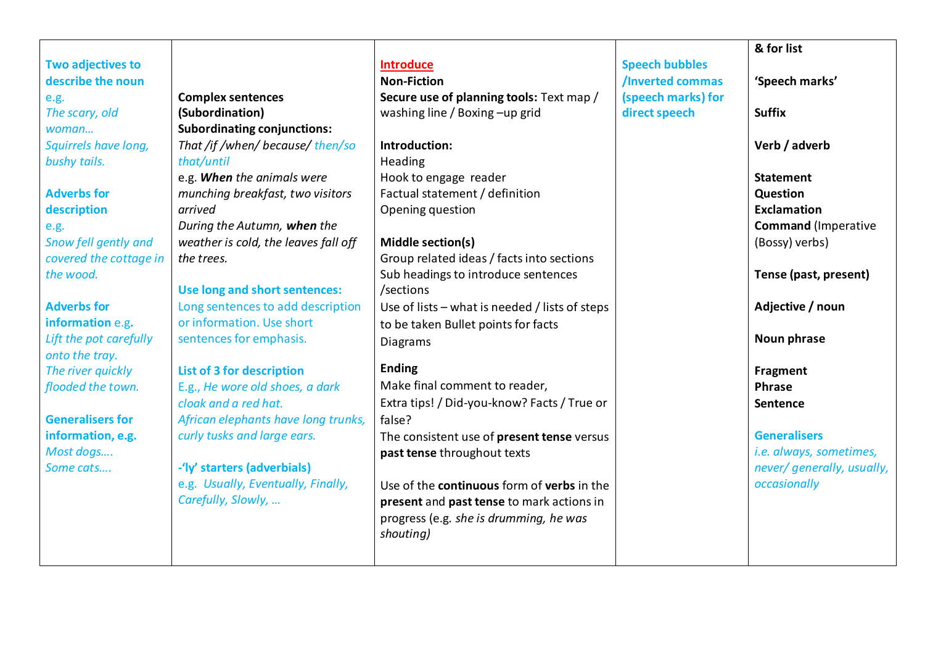|                          |                                      |                                                          |                       | & for list                 |
|--------------------------|--------------------------------------|----------------------------------------------------------|-----------------------|----------------------------|
| <b>Two adjectives to</b> |                                      | <b>Introduce</b>                                         | <b>Speech bubbles</b> |                            |
| describe the noun        |                                      | <b>Non-Fiction</b>                                       | /Inverted commas      | 'Speech marks'             |
| e.g.                     | <b>Complex sentences</b>             | Secure use of planning tools: Text map /                 | (speech marks) for    |                            |
| The scary, old           | (Subordination)                      | washing line / Boxing -up grid                           | direct speech         | <b>Suffix</b>              |
| woman                    | <b>Subordinating conjunctions:</b>   |                                                          |                       |                            |
| Squirrels have long,     | That /if /when/ because/ then/so     | Introduction:                                            |                       | Verb / adverb              |
| bushy tails.             | that/until                           | Heading                                                  |                       |                            |
|                          | e.g. When the animals were           | Hook to engage reader                                    |                       | <b>Statement</b>           |
| <b>Adverbs for</b>       | munching breakfast, two visitors     | Factual statement / definition                           |                       | <b>Question</b>            |
| description              | arrived                              | Opening question                                         |                       | <b>Exclamation</b>         |
| e.g.                     | During the Autumn, when the          |                                                          |                       | <b>Command</b> (Imperative |
| Snow fell gently and     | weather is cold, the leaves fall off | Middle section(s)                                        |                       | (Bossy) verbs)             |
| covered the cottage in   | the trees.                           | Group related ideas / facts into sections                |                       |                            |
| the wood.                |                                      | Sub headings to introduce sentences                      |                       | Tense (past, present)      |
|                          | Use long and short sentences:        | /sections                                                |                       |                            |
| <b>Adverbs for</b>       | Long sentences to add description    | Use of lists – what is needed / lists of steps           |                       | Adjective / noun           |
| information e.g.         | or information. Use short            | to be taken Bullet points for facts                      |                       |                            |
| Lift the pot carefully   | sentences for emphasis.              | <b>Diagrams</b>                                          |                       | Noun phrase                |
| onto the tray.           |                                      |                                                          |                       |                            |
| The river quickly        | <b>List of 3 for description</b>     | <b>Ending</b>                                            |                       | Fragment                   |
| flooded the town.        | E.g., He wore old shoes, a dark      | Make final comment to reader,                            |                       | <b>Phrase</b>              |
|                          | cloak and a red hat.                 | Extra tips! / Did-you-know? Facts / True or              |                       | <b>Sentence</b>            |
| <b>Generalisers for</b>  | African elephants have long trunks,  | false?                                                   |                       |                            |
| information, e.g.        | curly tusks and large ears.          | The consistent use of present tense versus               |                       | <b>Generalisers</b>        |
| Most dogs                |                                      | past tense throughout texts                              |                       | i.e. always, sometimes,    |
| Some cats                | -'ly' starters (adverbials)          |                                                          |                       | never/ generally, usually, |
|                          | e.g. Usually, Eventually, Finally,   | Use of the <b>continuous</b> form of <b>verbs</b> in the |                       | occasionally               |
|                          | Carefully, Slowly,                   | present and past tense to mark actions in                |                       |                            |
|                          |                                      | progress (e.g. she is drumming, he was                   |                       |                            |
|                          |                                      | shouting)                                                |                       |                            |
|                          |                                      |                                                          |                       |                            |
|                          |                                      |                                                          |                       |                            |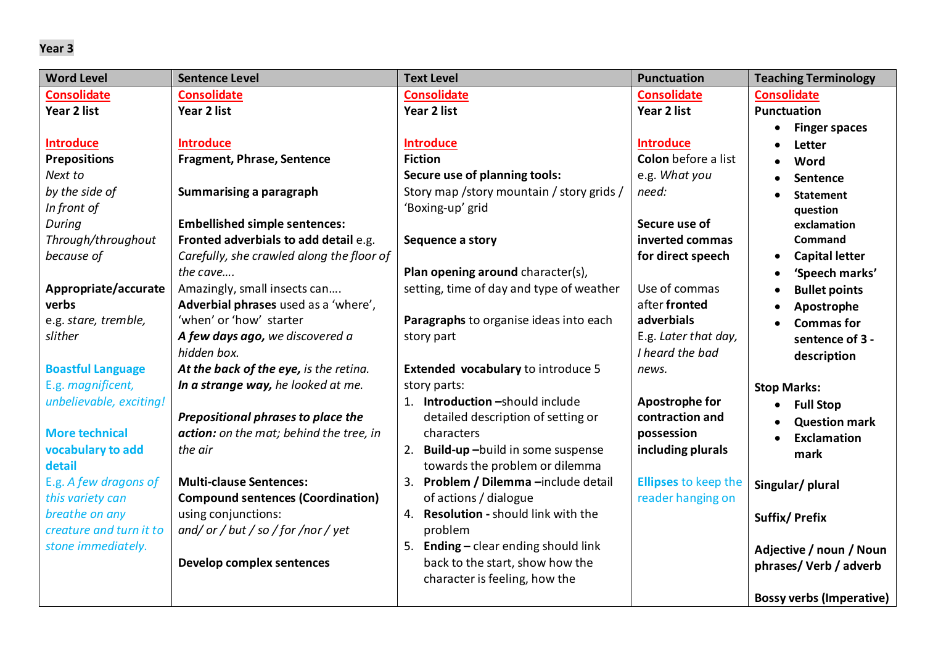| <b>Word Level</b>        | <b>Sentence Level</b>                     | <b>Text Level</b>                                | <b>Punctuation</b>          | <b>Teaching Terminology</b>        |
|--------------------------|-------------------------------------------|--------------------------------------------------|-----------------------------|------------------------------------|
| <b>Consolidate</b>       | <b>Consolidate</b>                        | <b>Consolidate</b>                               | <b>Consolidate</b>          | <b>Consolidate</b>                 |
| Year 2 list              | Year 2 list                               | Year 2 list                                      | Year 2 list                 | <b>Punctuation</b>                 |
|                          |                                           |                                                  |                             | <b>Finger spaces</b>               |
| <b>Introduce</b>         | <b>Introduce</b>                          | <b>Introduce</b>                                 | <b>Introduce</b>            | <b>Letter</b>                      |
| <b>Prepositions</b>      | <b>Fragment, Phrase, Sentence</b>         | <b>Fiction</b>                                   | Colon before a list         | Word                               |
| Next to                  |                                           | Secure use of planning tools:                    | e.g. What you               | Sentence                           |
| by the side of           | Summarising a paragraph                   | Story map /story mountain / story grids /        | need:                       | <b>Statement</b>                   |
| In front of              |                                           | 'Boxing-up' grid                                 |                             | question                           |
| During                   | <b>Embellished simple sentences:</b>      |                                                  | Secure use of               | exclamation                        |
| Through/throughout       | Fronted adverbials to add detail e.g.     | Sequence a story                                 | inverted commas             | Command                            |
| because of               | Carefully, she crawled along the floor of |                                                  | for direct speech           | <b>Capital letter</b><br>$\bullet$ |
|                          | the cave                                  | Plan opening around character(s),                |                             | 'Speech marks'                     |
| Appropriate/accurate     | Amazingly, small insects can              | setting, time of day and type of weather         | Use of commas               | <b>Bullet points</b>               |
| verbs                    | Adverbial phrases used as a 'where',      |                                                  | after fronted               | Apostrophe                         |
| e.g. stare, tremble,     | 'when' or 'how' starter                   | Paragraphs to organise ideas into each           | adverbials                  | <b>Commas for</b>                  |
| slither                  | A few days ago, we discovered a           | story part                                       | E.g. Later that day,        | sentence of 3 -                    |
|                          | hidden box.                               |                                                  | I heard the bad             | description                        |
| <b>Boastful Language</b> | At the back of the eye, is the retina.    | <b>Extended vocabulary to introduce 5</b>        | news.                       |                                    |
| E.g. magnificent,        | In a strange way, he looked at me.        | story parts:                                     |                             | <b>Stop Marks:</b>                 |
| unbelievable, exciting!  |                                           | 1. Introduction -should include                  | Apostrophe for              | <b>Full Stop</b>                   |
|                          | Prepositional phrases to place the        | detailed description of setting or               | contraction and             | <b>Question mark</b>               |
| <b>More technical</b>    | action: on the mat; behind the tree, in   | characters                                       | possession                  | <b>Exclamation</b><br>$\bullet$    |
| vocabulary to add        | the air                                   | Build-up-build in some suspense<br>2.            | including plurals           | mark                               |
| detail                   |                                           | towards the problem or dilemma                   |                             |                                    |
| E.g. A few dragons of    | <b>Multi-clause Sentences:</b>            | Problem / Dilemma -include detail<br>3.          | <b>Ellipses to keep the</b> | Singular/plural                    |
| this variety can         | <b>Compound sentences (Coordination)</b>  | of actions / dialogue                            | reader hanging on           |                                    |
| breathe on any           | using conjunctions:                       | 4. Resolution - should link with the             |                             | Suffix/ Prefix                     |
| creature and turn it to  | and/or/but/so/for/nor/yet                 | problem                                          |                             |                                    |
| stone immediately.       |                                           | <b>Ending</b> $-$ clear ending should link<br>5. |                             | Adjective / noun / Noun            |
|                          | <b>Develop complex sentences</b>          | back to the start, show how the                  |                             | phrases/Verb/adverb                |
|                          |                                           | character is feeling, how the                    |                             |                                    |
|                          |                                           |                                                  |                             | <b>Bossy verbs (Imperative)</b>    |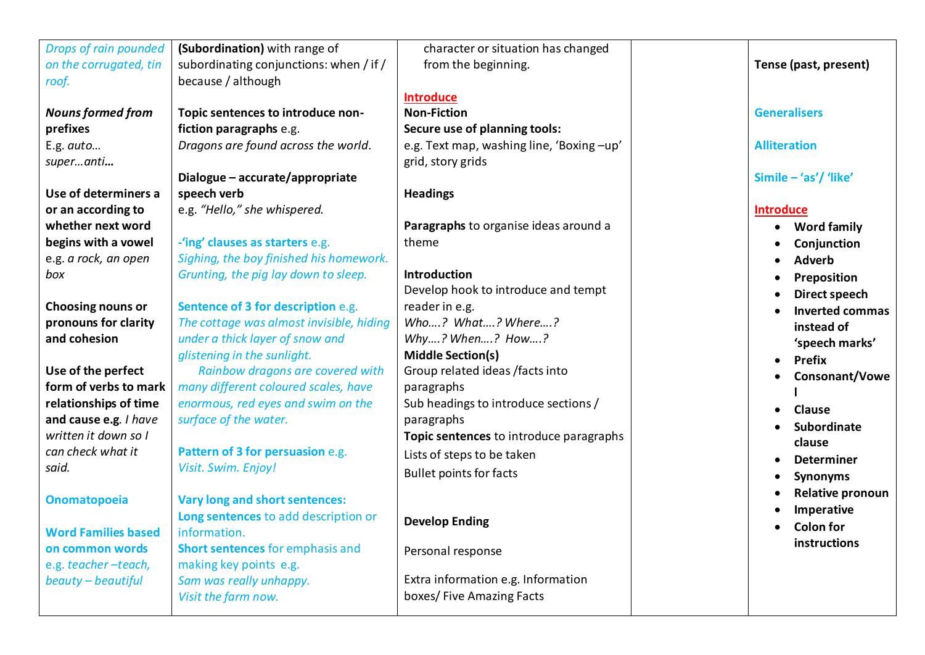| Drops of rain pounded      | (Subordination) with range of            | character or situation has changed       |                         |
|----------------------------|------------------------------------------|------------------------------------------|-------------------------|
| on the corrugated, tin     | subordinating conjunctions: when / if /  | from the beginning.                      | Tense (past, present)   |
| roof.                      | because / although                       |                                          |                         |
|                            |                                          | <b>Introduce</b>                         |                         |
| <b>Nouns formed from</b>   | Topic sentences to introduce non-        | <b>Non-Fiction</b>                       | <b>Generalisers</b>     |
| prefixes                   | fiction paragraphs e.g.                  | Secure use of planning tools:            |                         |
| E.g. auto                  | Dragons are found across the world.      | e.g. Text map, washing line, 'Boxing-up' | <b>Alliteration</b>     |
| superanti                  |                                          | grid, story grids                        |                         |
|                            | Dialogue - accurate/appropriate          |                                          | Simile - 'as'/ 'like'   |
| Use of determiners a       | speech verb                              | <b>Headings</b>                          |                         |
| or an according to         | e.g. "Hello," she whispered.             |                                          | <b>Introduce</b>        |
| whether next word          |                                          | Paragraphs to organise ideas around a    | <b>Word family</b>      |
| begins with a vowel        | -'ing' clauses as starters e.g.          | theme                                    | Conjunction             |
| e.g. a rock, an open       | Sighing, the boy finished his homework.  |                                          | <b>Adverb</b>           |
| box                        | Grunting, the pig lay down to sleep.     | <b>Introduction</b>                      | Preposition             |
|                            |                                          | Develop hook to introduce and tempt      | <b>Direct speech</b>    |
| <b>Choosing nouns or</b>   | Sentence of 3 for description e.g.       | reader in e.g.                           | <b>Inverted commas</b>  |
| pronouns for clarity       | The cottage was almost invisible, hiding | Who? What? Where?                        | instead of              |
| and cohesion               | under a thick layer of snow and          | Why? When? How?                          | 'speech marks'          |
|                            | glistening in the sunlight.              | <b>Middle Section(s)</b>                 | <b>Prefix</b>           |
| Use of the perfect         | Rainbow dragons are covered with         | Group related ideas / facts into         | Consonant/Vowe          |
| form of verbs to mark      | many different coloured scales, have     | paragraphs                               |                         |
| relationships of time      | enormous, red eyes and swim on the       | Sub headings to introduce sections /     | <b>Clause</b>           |
| and cause e.g. I have      | surface of the water.                    | paragraphs                               | Subordinate             |
| written it down so I       |                                          | Topic sentences to introduce paragraphs  | clause                  |
| can check what it          | Pattern of 3 for persuasion e.g.         | Lists of steps to be taken               | <b>Determiner</b>       |
| said.                      | Visit. Swim. Enjoy!                      | <b>Bullet points for facts</b>           | <b>Synonyms</b>         |
|                            |                                          |                                          | <b>Relative pronoun</b> |
| <b>Onomatopoeia</b>        | Vary long and short sentences:           |                                          | Imperative              |
|                            | Long sentences to add description or     | <b>Develop Ending</b>                    | <b>Colon for</b>        |
| <b>Word Families based</b> | information.                             |                                          | instructions            |
| on common words            | <b>Short sentences for emphasis and</b>  | Personal response                        |                         |
| e.g. teacher-teach,        | making key points e.g.                   |                                          |                         |
| beauty - beautiful         | Sam was really unhappy.                  | Extra information e.g. Information       |                         |
|                            | Visit the farm now.                      | boxes/ Five Amazing Facts                |                         |
|                            |                                          |                                          |                         |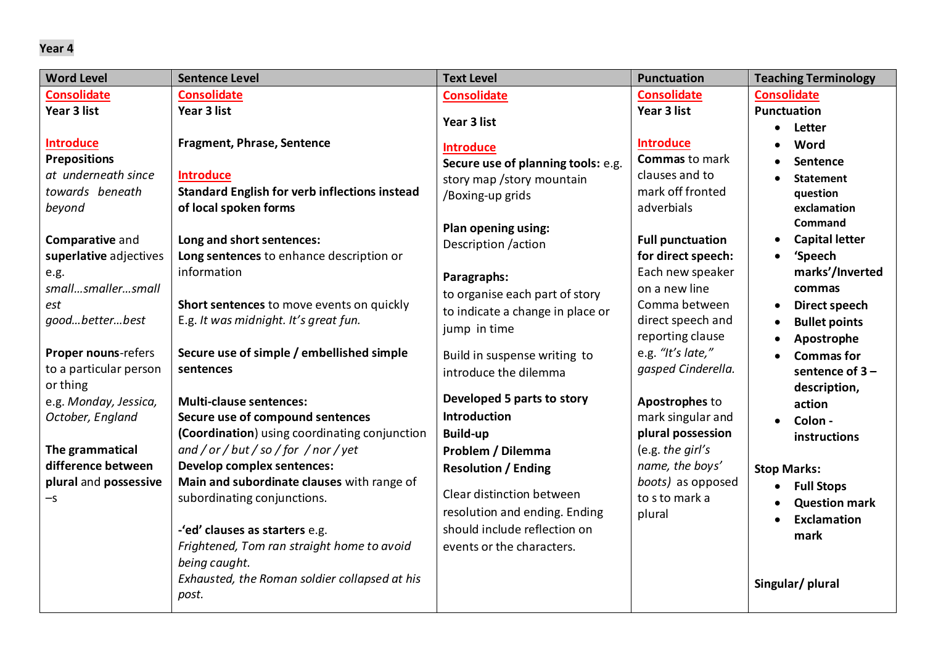| <b>Word Level</b>         | <b>Sentence Level</b>                                   | <b>Text Level</b>                  | <b>Punctuation</b>                | <b>Teaching Terminology</b>     |
|---------------------------|---------------------------------------------------------|------------------------------------|-----------------------------------|---------------------------------|
| <b>Consolidate</b>        | <b>Consolidate</b>                                      | <b>Consolidate</b>                 | <b>Consolidate</b>                | <b>Consolidate</b>              |
| Year 3 list               | Year 3 list                                             |                                    | Year 3 list                       | <b>Punctuation</b>              |
|                           |                                                         | Year 3 list                        |                                   | Letter                          |
| <b>Introduce</b>          | <b>Fragment, Phrase, Sentence</b>                       | <b>Introduce</b>                   | <b>Introduce</b>                  | Word                            |
| <b>Prepositions</b>       |                                                         | Secure use of planning tools: e.g. | <b>Commas</b> to mark             | Sentence                        |
| at underneath since       | <b>Introduce</b>                                        | story map / story mountain         | clauses and to                    | <b>Statement</b>                |
| towards beneath           | <b>Standard English for verb inflections instead</b>    | /Boxing-up grids                   | mark off fronted                  | question                        |
| beyond                    | of local spoken forms                                   |                                    | adverbials                        | exclamation                     |
|                           |                                                         | Plan opening using:                |                                   | <b>Command</b>                  |
| Comparative and           | Long and short sentences:                               | Description /action                | <b>Full punctuation</b>           | <b>Capital letter</b>           |
| superlative adjectives    | Long sentences to enhance description or<br>information |                                    | for direct speech:                | 'Speech<br>$\bullet$            |
| e.g.<br>smallsmallersmall |                                                         | Paragraphs:                        | Each new speaker<br>on a new line | marks'/Inverted                 |
| est                       | Short sentences to move events on quickly               | to organise each part of story     | Comma between                     | commas<br>Direct speech         |
| goodbetterbest            | E.g. It was midnight. It's great fun.                   | to indicate a change in place or   | direct speech and                 | <b>Bullet points</b>            |
|                           |                                                         | jump in time                       | reporting clause                  | Apostrophe                      |
| Proper nouns-refers       | Secure use of simple / embellished simple               | Build in suspense writing to       | e.g. "It's late,"                 | <b>Commas for</b>               |
| to a particular person    | sentences                                               | introduce the dilemma              | gasped Cinderella.                | sentence of $3 -$               |
| or thing                  |                                                         |                                    |                                   | description,                    |
| e.g. Monday, Jessica,     | <b>Multi-clause sentences:</b>                          | Developed 5 parts to story         | Apostrophes to                    | action                          |
| October, England          | Secure use of compound sentences                        | <b>Introduction</b>                | mark singular and                 | Colon -                         |
|                           | (Coordination) using coordinating conjunction           | <b>Build-up</b>                    | plural possession                 | instructions                    |
| The grammatical           | and / or / but / so / for / nor / yet                   | Problem / Dilemma                  | (e.g. the girl's                  |                                 |
| difference between        | Develop complex sentences:                              | <b>Resolution / Ending</b>         | name, the boys'                   | <b>Stop Marks:</b>              |
| plural and possessive     | Main and subordinate clauses with range of              |                                    | boots) as opposed                 | <b>Full Stops</b>               |
| -s                        | subordinating conjunctions.                             | Clear distinction between          | to s to mark a                    | <b>Question mark</b>            |
|                           |                                                         | resolution and ending. Ending      | plural                            | <b>Exclamation</b><br>$\bullet$ |
|                           | -'ed' clauses as starters e.g.                          | should include reflection on       |                                   | mark                            |
|                           | Frightened, Tom ran straight home to avoid              | events or the characters.          |                                   |                                 |
|                           | being caught.                                           |                                    |                                   |                                 |
|                           | Exhausted, the Roman soldier collapsed at his           |                                    |                                   | Singular/plural                 |
|                           | post.                                                   |                                    |                                   |                                 |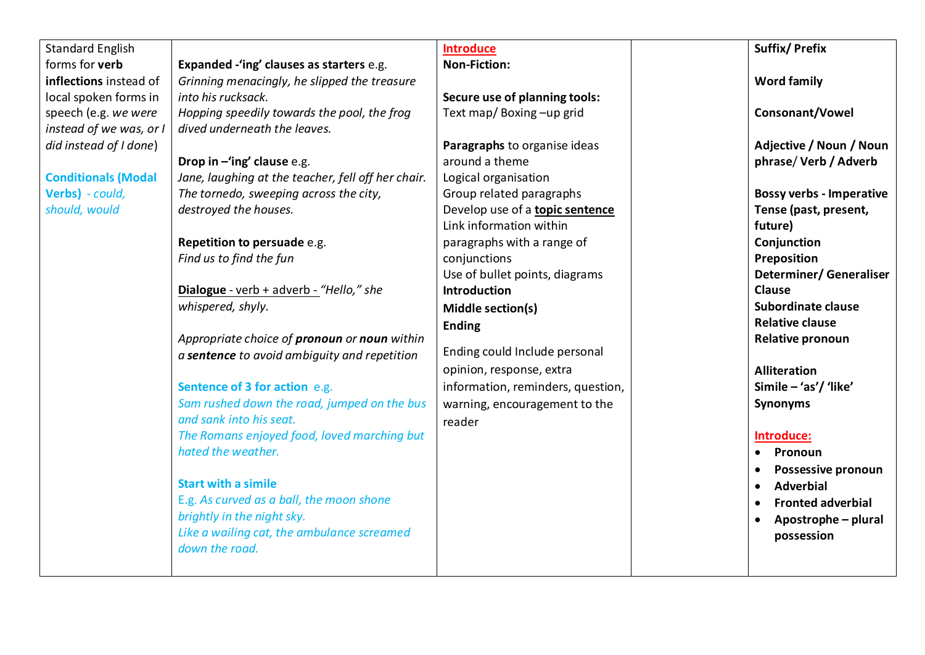| <b>Standard English</b>    |                                                    | <b>Introduce</b>                  | <b>Suffix/Prefix</b>             |
|----------------------------|----------------------------------------------------|-----------------------------------|----------------------------------|
| forms for verb             | Expanded -'ing' clauses as starters e.g.           | <b>Non-Fiction:</b>               |                                  |
| inflections instead of     | Grinning menacingly, he slipped the treasure       |                                   | <b>Word family</b>               |
| local spoken forms in      | into his rucksack.                                 | Secure use of planning tools:     |                                  |
| speech (e.g. we were       | Hopping speedily towards the pool, the frog        | Text map/ Boxing-up grid          | Consonant/Vowel                  |
| instead of we was, or      | dived underneath the leaves.                       |                                   |                                  |
| did instead of I done)     |                                                    | Paragraphs to organise ideas      | Adjective / Noun / Noun          |
|                            | Drop in $-\text{ing}'$ clause e.g.                 | around a theme                    | phrase/Verb / Adverb             |
| <b>Conditionals (Modal</b> | Jane, laughing at the teacher, fell off her chair. | Logical organisation              |                                  |
| Verbs) - could,            | The tornedo, sweeping across the city,             | Group related paragraphs          | <b>Bossy verbs - Imperative</b>  |
| should, would              | destroyed the houses.                              | Develop use of a topic sentence   | Tense (past, present,            |
|                            |                                                    | Link information within           | future)                          |
|                            | Repetition to persuade e.g.                        | paragraphs with a range of        | Conjunction                      |
|                            | Find us to find the fun                            | conjunctions                      | Preposition                      |
|                            |                                                    | Use of bullet points, diagrams    | <b>Determiner/ Generaliser</b>   |
|                            | Dialogue - verb + adverb - "Hello," she            | <b>Introduction</b>               | <b>Clause</b>                    |
|                            | whispered, shyly.                                  | Middle section(s)                 | Subordinate clause               |
|                            |                                                    | <b>Ending</b>                     | <b>Relative clause</b>           |
|                            | Appropriate choice of pronoun or noun within       |                                   | <b>Relative pronoun</b>          |
|                            | a sentence to avoid ambiguity and repetition       | Ending could Include personal     |                                  |
|                            |                                                    | opinion, response, extra          | <b>Alliteration</b>              |
|                            | Sentence of 3 for action e.g.                      | information, reminders, question, | Simile - 'as'/ 'like'            |
|                            | Sam rushed down the road, jumped on the bus        | warning, encouragement to the     | <b>Synonyms</b>                  |
|                            | and sank into his seat.                            | reader                            |                                  |
|                            | The Romans enjoyed food, loved marching but        |                                   | Introduce:                       |
|                            | hated the weather.                                 |                                   | Pronoun<br>$\bullet$             |
|                            |                                                    |                                   | Possessive pronoun               |
|                            | <b>Start with a simile</b>                         |                                   | <b>Adverbial</b><br>$\bullet$    |
|                            | E.g. As curved as a ball, the moon shone           |                                   | <b>Fronted adverbial</b>         |
|                            | brightly in the night sky.                         |                                   | Apostrophe – plural<br>$\bullet$ |
|                            | Like a wailing cat, the ambulance screamed         |                                   | possession                       |
|                            | down the road.                                     |                                   |                                  |
|                            |                                                    |                                   |                                  |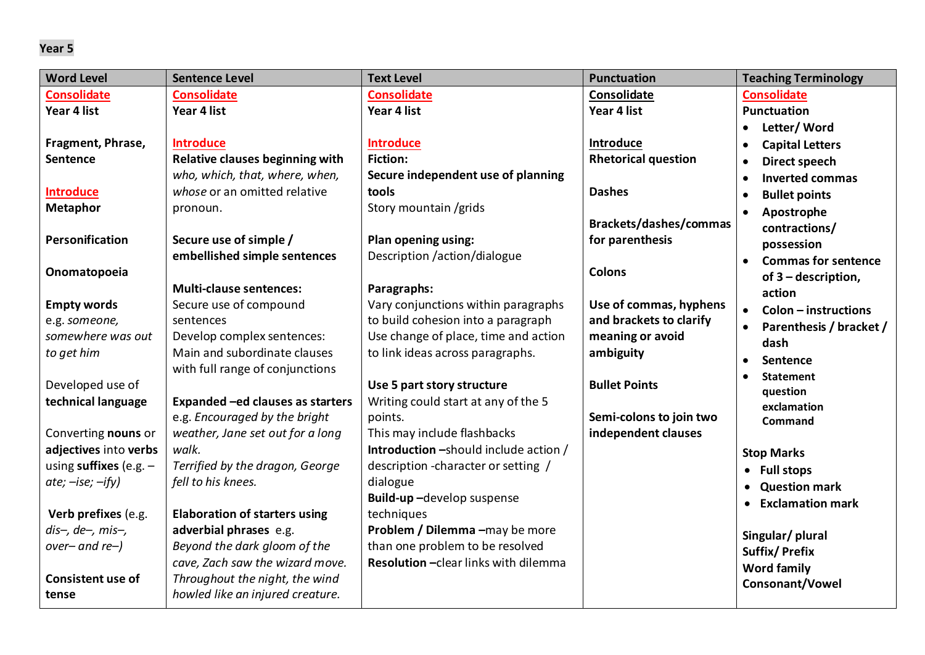| <b>Word Level</b>         | <b>Sentence Level</b>                | <b>Text Level</b>                     | <b>Punctuation</b>         | <b>Teaching Terminology</b>       |
|---------------------------|--------------------------------------|---------------------------------------|----------------------------|-----------------------------------|
| <b>Consolidate</b>        | <b>Consolidate</b>                   | <b>Consolidate</b>                    | Consolidate                | <b>Consolidate</b>                |
| Year 4 list               | Year 4 list                          | Year 4 list                           | Year 4 list                | <b>Punctuation</b>                |
|                           |                                      |                                       |                            | Letter/Word                       |
| Fragment, Phrase,         | <b>Introduce</b>                     | <b>Introduce</b>                      | Introduce                  | <b>Capital Letters</b>            |
| Sentence                  | Relative clauses beginning with      | <b>Fiction:</b>                       | <b>Rhetorical question</b> | Direct speech                     |
|                           | who, which, that, where, when,       | Secure independent use of planning    |                            | <b>Inverted commas</b>            |
| <b>Introduce</b>          | whose or an omitted relative         | tools                                 | <b>Dashes</b>              | <b>Bullet points</b>              |
| <b>Metaphor</b>           | pronoun.                             | Story mountain / grids                |                            | Apostrophe                        |
|                           |                                      |                                       | Brackets/dashes/commas     | contractions/                     |
| Personification           | Secure use of simple /               | Plan opening using:                   | for parenthesis            | possession                        |
|                           | embellished simple sentences         | Description /action/dialogue          |                            | <b>Commas for sentence</b>        |
| Onomatopoeia              |                                      |                                       | <b>Colons</b>              | of 3 – description,               |
|                           | <b>Multi-clause sentences:</b>       | Paragraphs:                           |                            | action                            |
| <b>Empty words</b>        | Secure use of compound               | Vary conjunctions within paragraphs   | Use of commas, hyphens     | $\bullet$<br>Colon - instructions |
| e.g. someone,             | sentences                            | to build cohesion into a paragraph    | and brackets to clarify    | Parenthesis / bracket /           |
| somewhere was out         | Develop complex sentences:           | Use change of place, time and action  | meaning or avoid           | dash                              |
| to get him                | Main and subordinate clauses         | to link ideas across paragraphs.      | ambiguity                  | Sentence                          |
|                           | with full range of conjunctions      |                                       |                            | <b>Statement</b>                  |
| Developed use of          |                                      | Use 5 part story structure            | <b>Bullet Points</b>       | question                          |
| technical language        | Expanded -ed clauses as starters     | Writing could start at any of the 5   |                            | exclamation                       |
|                           | e.g. Encouraged by the bright        | points.                               | Semi-colons to join two    | <b>Command</b>                    |
| Converting nouns or       | weather, Jane set out for a long     | This may include flashbacks           | independent clauses        |                                   |
| adjectives into verbs     | walk.                                | Introduction -should include action / |                            | <b>Stop Marks</b>                 |
| using suffixes (e.g. $-$  | Terrified by the dragon, George      | description - character or setting /  |                            | <b>Full stops</b>                 |
| $ate$ ; $-ise$ ; $-ify$ ) | fell to his knees.                   | dialogue                              |                            | <b>Question mark</b>              |
|                           |                                      | Build-up-develop suspense             |                            | <b>Exclamation mark</b>           |
| Verb prefixes (e.g.       | <b>Elaboration of starters using</b> | techniques                            |                            |                                   |
| $dis-, de-, mis-,$        | adverbial phrases e.g.               | Problem / Dilemma -may be more        |                            | Singular/plural                   |
| $over-and$ re- $)$        | Beyond the dark gloom of the         | than one problem to be resolved       |                            | <b>Suffix/Prefix</b>              |
|                           | cave, Zach saw the wizard move.      | Resolution - clear links with dilemma |                            | <b>Word family</b>                |
| <b>Consistent use of</b>  | Throughout the night, the wind       |                                       |                            | Consonant/Vowel                   |
| tense                     | howled like an injured creature.     |                                       |                            |                                   |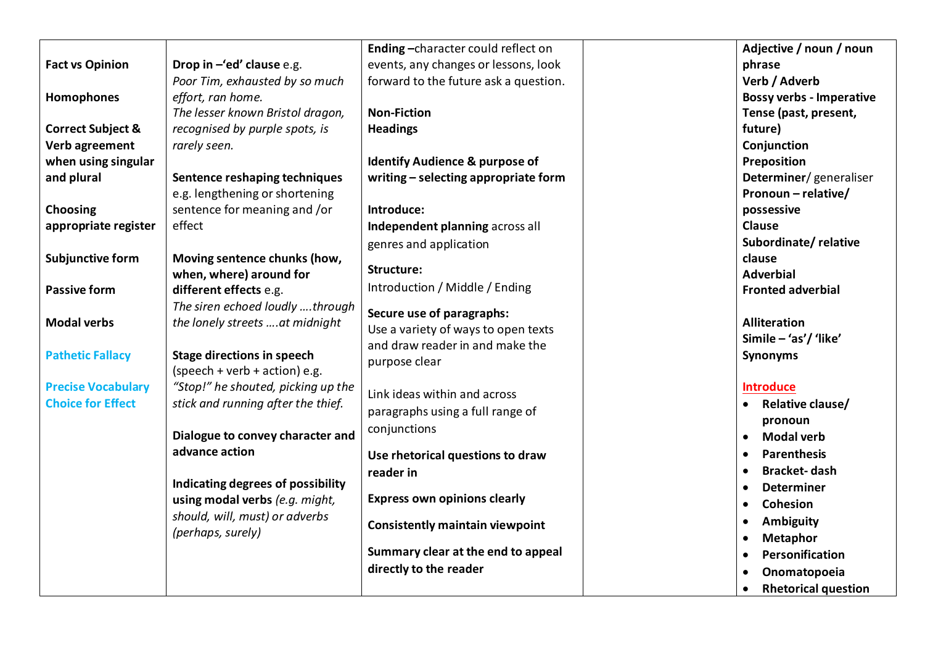|                              |                                    | Ending-character could reflect on         | Adjective / noun / noun                 |
|------------------------------|------------------------------------|-------------------------------------------|-----------------------------------------|
| <b>Fact vs Opinion</b>       | Drop in $-\ell$ ed' clause e.g.    | events, any changes or lessons, look      | phrase                                  |
|                              | Poor Tim, exhausted by so much     | forward to the future ask a question.     | Verb / Adverb                           |
| Homophones                   | effort, ran home.                  |                                           | <b>Bossy verbs - Imperative</b>         |
|                              | The lesser known Bristol dragon,   | <b>Non-Fiction</b>                        | Tense (past, present,                   |
| <b>Correct Subject &amp;</b> | recognised by purple spots, is     | <b>Headings</b>                           | future)                                 |
| Verb agreement               | rarely seen.                       |                                           | Conjunction                             |
| when using singular          |                                    | <b>Identify Audience &amp; purpose of</b> | Preposition                             |
| and plural                   | Sentence reshaping techniques      | writing - selecting appropriate form      | Determiner/generaliser                  |
|                              | e.g. lengthening or shortening     |                                           | Pronoun - relative/                     |
| Choosing                     | sentence for meaning and /or       | Introduce:                                | possessive                              |
| appropriate register         | effect                             | Independent planning across all           | <b>Clause</b>                           |
|                              |                                    | genres and application                    | Subordinate/relative                    |
| Subjunctive form             | Moving sentence chunks (how,       |                                           | clause                                  |
|                              | when, where) around for            | Structure:                                | <b>Adverbial</b>                        |
| <b>Passive form</b>          | different effects e.g.             | Introduction / Middle / Ending            | <b>Fronted adverbial</b>                |
|                              | The siren echoed loudly through    | Secure use of paragraphs:                 |                                         |
| <b>Modal verbs</b>           | the lonely streets at midnight     | Use a variety of ways to open texts       | <b>Alliteration</b>                     |
|                              |                                    | and draw reader in and make the           | Simile - 'as'/ 'like'                   |
| <b>Pathetic Fallacy</b>      | <b>Stage directions in speech</b>  | purpose clear                             | <b>Synonyms</b>                         |
|                              | (speech + verb + action) e.g.      |                                           |                                         |
| <b>Precise Vocabulary</b>    | "Stop!" he shouted, picking up the | Link ideas within and across              | <b>Introduce</b>                        |
| <b>Choice for Effect</b>     | stick and running after the thief. | paragraphs using a full range of          | Relative clause/                        |
|                              |                                    | conjunctions                              | pronoun                                 |
|                              | Dialogue to convey character and   |                                           | <b>Modal verb</b><br>$\bullet$          |
|                              | advance action                     | Use rhetorical questions to draw          | <b>Parenthesis</b><br>$\bullet$         |
|                              |                                    | reader in                                 | <b>Bracket-dash</b><br>$\bullet$        |
|                              | Indicating degrees of possibility  |                                           | <b>Determiner</b><br>$\bullet$          |
|                              | using modal verbs (e.g. might,     | <b>Express own opinions clearly</b>       | Cohesion<br>$\bullet$                   |
|                              | should, will, must) or adverbs     | <b>Consistently maintain viewpoint</b>    | <b>Ambiguity</b><br>$\bullet$           |
|                              | (perhaps, surely)                  |                                           | <b>Metaphor</b><br>٠                    |
|                              |                                    | Summary clear at the end to appeal        | Personification<br>$\bullet$            |
|                              |                                    | directly to the reader                    | Onomatopoeia                            |
|                              |                                    |                                           | <b>Rhetorical question</b><br>$\bullet$ |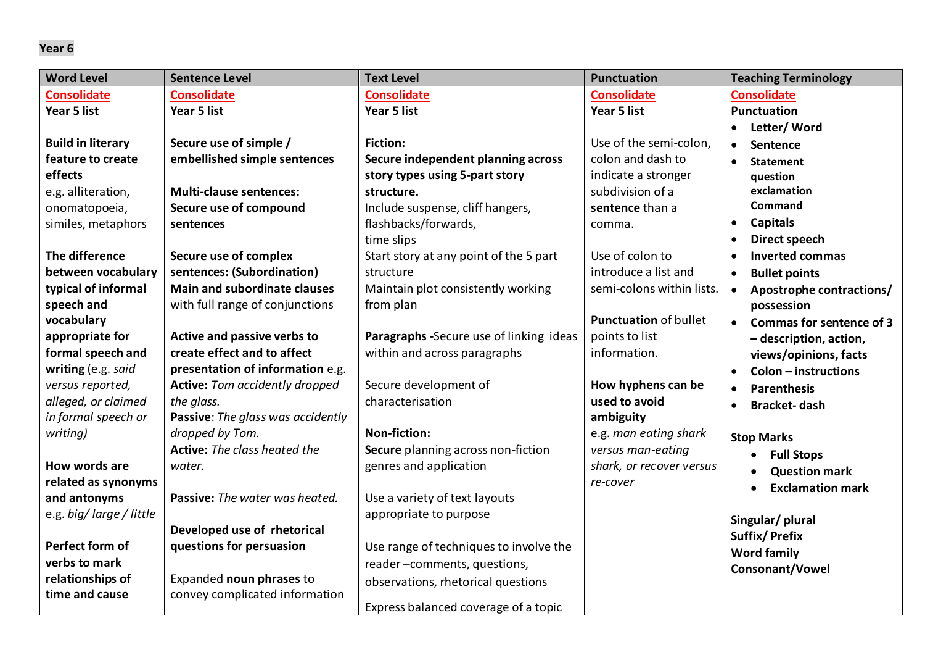| <b>Word Level</b>        | <b>Sentence Level</b>                 | <b>Text Level</b>                       | <b>Punctuation</b>           | <b>Teaching Terminology</b>           |
|--------------------------|---------------------------------------|-----------------------------------------|------------------------------|---------------------------------------|
| <b>Consolidate</b>       | <b>Consolidate</b>                    | <b>Consolidate</b>                      | <b>Consolidate</b>           | <b>Consolidate</b>                    |
| Year 5 list              | Year 5 list                           | Year 5 list                             | Year 5 list                  | <b>Punctuation</b>                    |
|                          |                                       |                                         |                              | Letter/Word<br>$\bullet$              |
| <b>Build in literary</b> | Secure use of simple /                | <b>Fiction:</b>                         | Use of the semi-colon,       | Sentence                              |
| feature to create        | embellished simple sentences          | Secure independent planning across      | colon and dash to            | <b>Statement</b><br>$\bullet$         |
| effects                  |                                       | story types using 5-part story          | indicate a stronger          | question                              |
| e.g. alliteration,       | <b>Multi-clause sentences:</b>        | structure.                              | subdivision of a             | exclamation                           |
| onomatopoeia,            | Secure use of compound                | Include suspense, cliff hangers,        | sentence than a              | Command                               |
| similes, metaphors       | sentences                             | flashbacks/forwards,                    | comma.                       | <b>Capitals</b><br>$\bullet$          |
|                          |                                       | time slips                              |                              | Direct speech                         |
| The difference           | Secure use of complex                 | Start story at any point of the 5 part  | Use of colon to              | <b>Inverted commas</b>                |
| between vocabulary       | sentences: (Subordination)            | structure                               | introduce a list and         | <b>Bullet points</b><br>$\bullet$     |
| typical of informal      | <b>Main and subordinate clauses</b>   | Maintain plot consistently working      | semi-colons within lists.    | Apostrophe contractions/<br>$\bullet$ |
| speech and               | with full range of conjunctions       | from plan                               |                              | possession                            |
| vocabulary               |                                       |                                         | <b>Punctuation of bullet</b> | • Commas for sentence of 3            |
| appropriate for          | Active and passive verbs to           | Paragraphs -Secure use of linking ideas | points to list               | - description, action,                |
| formal speech and        | create effect and to affect           | within and across paragraphs            | information.                 | views/opinions, facts                 |
| writing (e.g. said       | presentation of information e.g.      |                                         |                              | Colon - instructions<br>$\bullet$     |
| versus reported,         | <b>Active:</b> Tom accidently dropped | Secure development of                   | How hyphens can be           | <b>Parenthesis</b>                    |
| alleged, or claimed      | the glass.                            | characterisation                        | used to avoid                | <b>Bracket-dash</b>                   |
| in formal speech or      | Passive: The glass was accidently     |                                         | ambiguity                    |                                       |
| writing)                 | dropped by Tom.                       | <b>Non-fiction:</b>                     | e.g. man eating shark        | <b>Stop Marks</b>                     |
|                          | Active: The class heated the          | Secure planning across non-fiction      | versus man-eating            | <b>Full Stops</b>                     |
| How words are            | water.                                | genres and application                  | shark, or recover versus     | <b>Question mark</b>                  |
| related as synonyms      |                                       |                                         | re-cover                     | <b>Exclamation mark</b>               |
| and antonyms             | Passive: The water was heated.        | Use a variety of text layouts           |                              |                                       |
| e.g. big/large/little    |                                       | appropriate to purpose                  |                              | Singular/plural                       |
|                          | Developed use of rhetorical           |                                         |                              | <b>Suffix/Prefix</b>                  |
| Perfect form of          | questions for persuasion              | Use range of techniques to involve the  |                              | <b>Word family</b>                    |
| verbs to mark            |                                       | reader-comments, questions,             |                              | Consonant/Vowel                       |
| relationships of         | Expanded noun phrases to              | observations, rhetorical questions      |                              |                                       |
| time and cause           | convey complicated information        | Express balanced coverage of a topic    |                              |                                       |